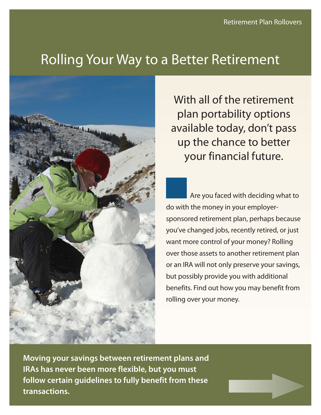# Rolling Your Way to a Better Retirement



With all of the retirement plan portability options available today, don't pass up the chance to better your financial future.

Are you faced with deciding what to do with the money in your employersponsored retirement plan, perhaps because you've changed jobs, recently retired, or just want more control of your money? Rolling over those assets to another retirement plan or an IRA will not only preserve your savings, but possibly provide you with additional benefits. Find out how you may benefit from rolling over your money.

**Moving your savings between retirement plans and IRAs has never been more flexible, but you must follow certain guidelines to fully benefit from these transactions.**